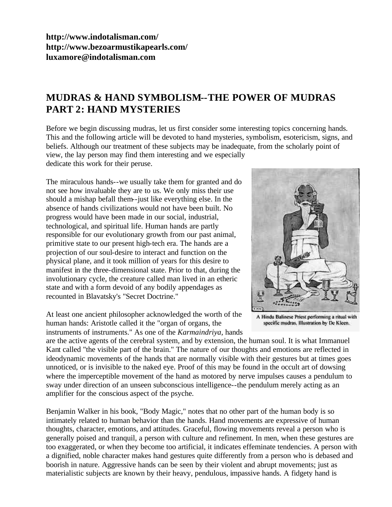**<http://www.indotalisman.com/> <http://www.bezoarmustikapearls.com/> luxamore@indotalisman.com**

# **MUDRAS & HAND SYMBOLISM--THE POWER OF MUDRAS PART 2: HAND MYSTERIES**

Before we begin discussing mudras, let us first consider some interesting topics concerning hands. This and the following article will be devoted to hand mysteries, symbolism, esotericism, signs, and beliefs. Although our treatment of these subjects may be inadequate, from the scholarly point of view, the lay person may find them interesting and we especially dedicate this work for their peruse.

The miraculous hands--we usually take them for granted and do not see how invaluable they are to us. We only miss their use should a mishap befall them--just like everything else. In the absence of hands civilizations would not have been built. No progress would have been made in our social, industrial, technological, and spiritual life. Human hands are partly responsible for our evolutionary growth from our past animal, primitive state to our present high-tech era. The hands are a projection of our soul-desire to interact and function on the physical plane, and it took million of years for this desire to manifest in the three-dimensional state. Prior to that, during the involutionary cycle, the creature called man lived in an etheric state and with a form devoid of any bodily appendages as recounted in Blavatsky's "Secret Doctrine."

At least one ancient philosopher acknowledged the worth of the human hands: Aristotle called it the "organ of organs, the instruments of instruments." As one of the *Karmaindriya*, hands



A Hindu Balinese Priest performing a ritual with specific mudras. Illustration by De Kleen.

are the active agents of the cerebral system, and by extension, the human soul. It is what Immanuel Kant called "the visible part of the brain." The nature of our thoughts and emotions are reflected in ideodynamic movements of the hands that are normally visible with their gestures but at times goes unnoticed, or is invisible to the naked eye. Proof of this may be found in the occult art of dowsing where the imperceptible movement of the hand as motored by nerve impulses causes a pendulum to sway under direction of an unseen subconscious intelligence--the pendulum merely acting as an amplifier for the conscious aspect of the psyche.

Benjamin Walker in his book, "Body Magic," notes that no other part of the human body is so intimately related to human behavior than the hands. Hand movements are expressive of human thoughts, character, emotions, and attitudes. Graceful, flowing movements reveal a person who is generally poised and tranquil, a person with culture and refinement. In men, when these gestures are too exaggerated, or when they become too artificial, it indicates effeminate tendencies. A person with a dignified, noble character makes hand gestures quite differently from a person who is debased and boorish in nature. Aggressive hands can be seen by their violent and abrupt movements; just as materialistic subjects are known by their heavy, pendulous, impassive hands. A fidgety hand is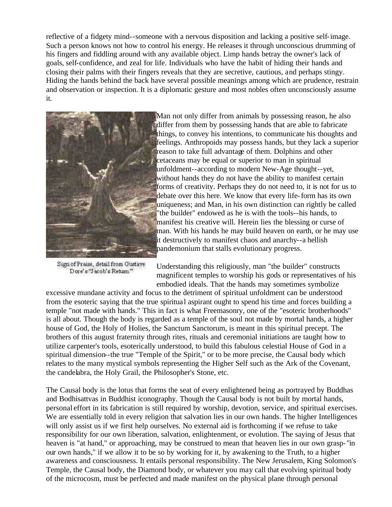reflective of a fidgety mind--someone with a nervous disposition and lacking a positive self-image. Such a person knows not how to control his energy. He releases it through unconscious drumming of his fingers and fiddling around with any available object. Limp hands betray the owner's lack of goals, self-confidence, and zeal for life. Individuals who have the habit of hiding their hands and closing their palms with their fingers reveals that they are secretive, cautious, and perhaps stingy. Hiding the hands behind the back have several possible meanings among which are prudence, restrain and observation or inspection. It is a diplomatic gesture and most nobles often unconsciously assume it.



Sign of Praise, detail from Gustave Dore's "Jacob's Return."

Man not only differ from animals by possessing reason, he also differ from them by possessing hands that are able to fabricate things, to convey his intentions, to communicate his thoughts and feelings. Anthropoids may possess hands, but they lack a superior reason to take full advantage of them. Dolphins and other cetaceans may be equal or superior to man in spiritual unfoldment--according to modern New-Age thought--yet, without hands they do not have the ability to manifest certain forms of creativity. Perhaps they do not need to, it is not for us to debate over this here. We know that every life-form has its own uniqueness; and Man, in his own distinction can rightly be called "the builder" endowed as he is with the tools--his hands, to manifest his creative will. Herein lies the blessing or curse of man. With his hands he may build heaven on earth, or he may use it destructively to manifest chaos and anarchy--a hellish pandemonium that stalls evolutionary progress.

Understanding this religiously, man "the builder" constructs magnificent temples to worship his gods or representatives of his embodied ideals. That the hands may sometimes symbolize

excessive mundane activity and focus to the detriment of spiritual unfoldment can be understood from the esoteric saying that the true spiritua l aspirant ought to spend his time and forces building a temple "not made with hands." This in fact is what Freemasonry, one of the "esoteric brotherhoods" is all about. Though the body is regarded as a temple of the soul not made by mortal hands, a higher house of God, the Holy of Holies, the Sanctum Sanctorum, is meant in this spiritual precept. The brothers of this august fraternity through rites, rituals and ceremonial initiations are taught how to utilize carpenter's tools, esoterically understood, to build this fabulous celestial House of God in a spiritual dimension--the true "Temple of the Spirit," or to be more precise, the Causal body which relates to the many mystical symbols representing the Higher Self such as the Ark of the Covenant, the candelabra, the Holy Grail, the Philosopher's Stone, etc.

The Causal body is the lotus that forms the seat of every enlightened being as portrayed by Buddhas and Bodhisattvas in Buddhist iconography. Though the Causal body is not built by mortal hands, personal effort in its fabrication is still required by worship, devotion, service, and spiritual exercises. We are essentially told in every religion that salvation lies in our own hands. The higher Intelligences will only assist us if we first help ourselves. No external aid is forthcoming if we refuse to take responsibility for our own liberation, salvation, enlightenment, or evolution. The saying of Jesus that heaven is "at hand," or approaching, may be construed to mean that heaven lies in our own grasp- "in our own hands," if we allow it to be so by working for it, by awakening to the Truth, to a higher awareness and consciousness. It entails personal responsibility. The New Jerusalem, King Solomon's Temple, the Causal body, the Diamond body, or whatever you may call that evolving spiritual body of the microcosm, must be perfected and made manifest on the physical plane through personal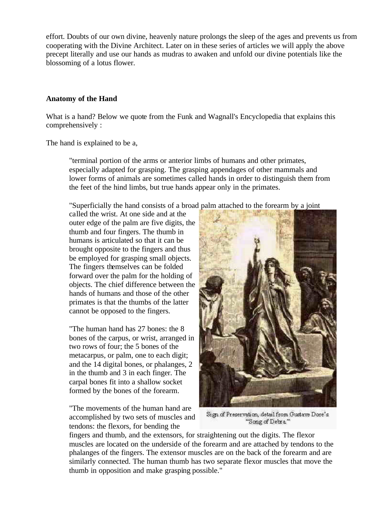effort. Doubts of our own divine, heavenly nature prolongs the sleep of the ages and prevents us from cooperating with the Divine Architect. Later on in these series of articles we will apply the above precept literally and use our hands as mudras to awaken and unfold our divine potentials like the blossoming of a lotus flower.

## **Anatomy of the Hand**

What is a hand? Below we quote from the Funk and Wagnall's Encyclopedia that explains this comprehensively :

The hand is explained to be a,

"terminal portion of the arms or anterior limbs of humans and other primates, especially adapted for grasping. The grasping appendages of other mammals and lower forms of animals are sometimes called hands in order to distinguish them from the feet of the hind limbs, but true hands appear only in the primates.

"Superficially the hand consists of a broad palm attached to the forearm by a joint

called the wrist. At one side and at the outer edge of the palm are five digits, the thumb and four fingers. The thumb in humans is articulated so that it can be brought opposite to the fingers and thus be employed for grasping small objects. The fingers themselves can be folded forward over the palm for the holding of objects. The chief difference between the hands of humans and those of the other primates is that the thumbs of the latter cannot be opposed to the fingers.

"The human hand has 27 bones: the 8 bones of the carpus, or wrist, arranged in two rows of four; the 5 bones of the metacarpus, or palm, one to each digit; and the 14 digital bones, or phalanges, 2 in the thumb and 3 in each finger. The carpal bones fit into a shallow socket formed by the bones of the forearm.

"The movements of the human hand are accomplished by two sets of muscles and tendons: the flexors, for bending the



Sign of Preservation, detail from Gustave Dore's "Song of Debra"

fingers and thumb, and the extensors, for straightening out the digits. The flexor muscles are located on the underside of the forearm and are attached by tendons to the phalanges of the fingers. The extensor muscles are on the back of the forearm and are similarly connected. The human thumb has two separate flexor muscles that move the thumb in opposition and make grasping possible."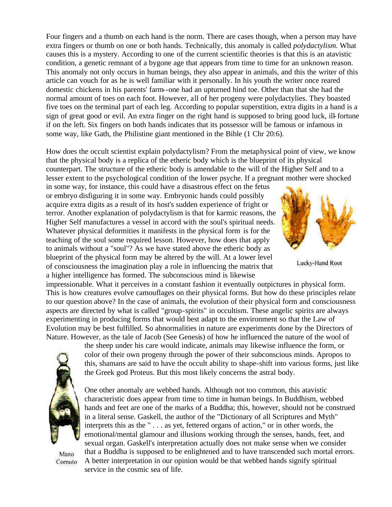Four fingers and a thumb on each hand is the norm. There are cases though, when a person may have extra fingers or thumb on one or both hands. Technically, this anomaly is called *polydactylism.* What causes this is a mystery. According to one of the current scientific theories is that this is an atavistic condition, a genetic remnant of a bygone age that appears from time to time for an unknown reason. This anomaly not only occurs in human beings, they also appear in animals, and this the writer of this article can vouch for as he is well familiar with it personally. In his youth the writer once reared domestic chickens in his parents' farm--one had an upturned hind toe. Other than that she had the normal amount of toes on each foot. However, all of her progeny were polydactylies. They boasted five toes on the terminal part of each leg. According to popular superstition, extra digits in a hand is a sign of great good or evil. An extra finger on the right hand is supposed to bring good luck, ill-fortune if on the left. Six fingers on both hands indicates that its possessor will be famous or infamous in some way, like Gath, the Philistine giant mentioned in the Bible (1 Chr 20:6).

How does the occult scientist explain polydactylism? From the metaphysical point of view, we know that the physical body is a replica of the etheric body which is the blueprint of its physical counterpart. The structure of the etheric body is amendable to the will of the Higher Self and to a lesser extent to the psychological condition of the lower psyche. If a pregnant mother were shocked

in some way, for instance, this could have a disastrous effect on the fetus or embryo disfiguring it in some way. Embryonic hands could possibly acquire extra digits as a result of its host's sudden experience of fright or terror. Another explanation of polydactylism is that for karmic reasons, the Higher Self manufactures a vessel in accord with the soul's spiritual needs. Whatever physical deformities it manifests in the physical form is for the teaching of the soul some required lesson. However, how does that apply to animals without a "soul"? As we have stated above the etheric body as blueprint of the physical form may be altered by the will. At a lower level of consciousness the imagination play a role in influencing the matrix that a higher intelligence has formed. The subconscious mind is likewise



Lucky-Hand Root

impressionable. What it perceives in a constant fashion it eventually outpictures in physical form. This is how creatures evolve camouflages on their physical forms. But how do these principles relate to our question above? In the case of animals, the evolution of their physical form and consciousness aspects are directed by what is called "group-spirits" in occultism. These angelic spirits are always experimenting in producing forms that would best adapt to the environment so that the Law of Evolution may be best fulfilled. So abnormalities in nature are experiments done by the Directors of Nature. However, as the tale of Jacob (See Genesis) of how he influenced the nature of the wool of

> the sheep under his care would indicate, animals may likewise influence the form, or color of their own progeny through the power of their subconscious minds. Apropos to this, shamans are said to have the occult ability to shape-shift into various forms, just like the Greek god Proteus. But this most likely concerns the astral body.



Mano Cornuto

One other anomaly are webbed hands. Although not too common, this atavistic characteristic does appear from time to time in human beings. In Buddhism, webbed hands and feet are one of the marks of a Buddha; this, however, should not be construed in a literal sense. Gaskell, the author of the "Dictionary of all Scriptures and Myth" interprets this as the " . . . as yet, fettered organs of action," or in other words, the emotional/mental glamour and illusions working through the senses, hands, feet, and sexual organ. Gaskell's interpretation actually does not make sense when we consider that a Buddha is supposed to be enlightened and to have transcended such mortal errors. A better interpretation in our opinion would be that webbed hands signify spiritual service in the cosmic sea of life.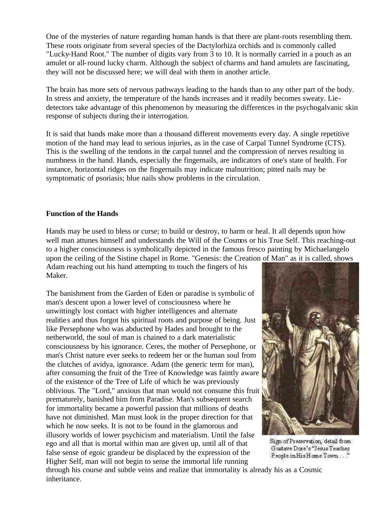One of the mysteries of nature regarding human hands is that there are plant-roots resembling them. These roots originate from several species of the Dactylorhiza orchids and is commonly called "Lucky-Hand Root." The number of digits vary from 3 to 10. It is normally carried in a pouch as an amulet or all-round lucky charm. Although the subject of charms and hand amulets are fascinating, they will not be discussed here; we will deal with them in another article.

The brain has more sets of nervous pathways leading to the hands than to any other part of the body. In stress and anxiety, the temperature of the hands increases and it readily becomes sweaty. Liedetectors take advantage of this phenomenon by measuring the differences in the psychogalvanic skin response of subjects during the ir interrogation.

It is said that hands make more than a thousand different movements every day. A single repetitive motion of the hand may lead to serious injuries, as in the case of Carpal Tunnel Syndrome (CTS). This is the swelling of the tendons in the carpal tunnel and the compression of nerves resulting in numbness in the hand. Hands, especially the fingernails, are indicators of one's state of health. For instance, horizontal ridges on the fingernails may indicate malnutrition; pitted nails may be symptomatic of psoriasis; blue nails show problems in the circulation.

## **Function of the Hands**

Hands may be used to bless or curse; to build or destroy, to harm or heal. It all depends upon how well man attunes himself and understands the Will of the Cosmos or his True Self. This reaching-out to a higher consciousness is symbolically depicted in the famous fresco painting by Michaelangelo upon the ceiling of the Sistine chapel in Rome. "Genesis: the Creation of Man" as it is called, shows Adam reaching out his hand attempting to touch the fingers of his

Maker.

The banishment from the Garden of Eden or paradise is symbolic of man's descent upon a lower level of consciousness where he unwittingly lost contact with higher intelligences and alternate realities and thus forgot his spiritual roots and purpose of being. Just like Persephone who was abducted by Hades and brought to the netherworld, the soul of man is chained to a dark materialistic consciousness by his ignorance. Ceres, the mother of Persephone, or man's Christ nature ever seeks to redeem her or the human soul from the clutches of avidya, ignorance. Adam (the generic term for man), after consuming the fruit of the Tree of Knowledge was faintly aware of the existence of the Tree of Life of which he was previously oblivious. The "Lord," anxious that man would not consume this fruit prematurely, banished him from Paradise. Man's subsequent search for immortality became a powerful passion that millions of deaths have not diminished. Man must look in the proper direction for that which he now seeks. It is not to be found in the glamorous and illusory worlds of lower psychicism and materialism. Until the false ego and all that is mortal within man are given up, until all of that false sense of egoic grandeur be displaced by the expression of the Higher Self, man will not begin to sense the immortal life running



Sign of Preservation, detail from Gustave Dore's "Jesus Teaches People in His Home Town..."

through his course and subtle veins and realize that immortality is already his as a Cosmic inheritance.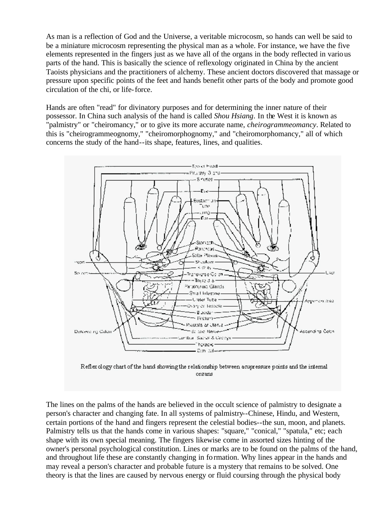As man is a reflection of God and the Universe, a veritable microcosm, so hands can well be said to be a miniature microcosm representing the physical man as a whole. For instance, we have the five elements represented in the fingers just as we have all of the organs in the body reflected in various parts of the hand. This is basically the science of reflexology originated in China by the ancient Taoists physicians and the practitioners of alchemy. These ancient doctors discovered that massage or pressure upon specific points of the feet and hands benefit other parts of the body and promote good circulation of the chi, or life-force.

Hands are often "read" for divinatory purposes and for determining the inner nature of their possessor. In China such analysis of the hand is called *Shou Hsiang*. In the West it is known as "palmistry" or "cheiromancy," or to give its more accurate name, *cheirogrammeomancy*. Related to this is "cheirogrammeognomy," "cheiromorphognomy," and "cheiromorphomancy," all of which concerns the study of the hand--its shape, features, lines, and qualities.



Reflex ology chart of the hand showing the relationship between acupressure points and the internal organs

The lines on the palms of the hands are believed in the occult science of palmistry to designate a person's character and changing fate. In all systems of palmistry--Chinese, Hindu, and Western, certain portions of the hand and fingers represent the celestial bodies--the sun, moon, and planets. Palmistry tells us that the hands come in various shapes: "square," "conical," "spatula," etc; each shape with its own special meaning. The fingers likewise come in assorted sizes hinting of the owner's personal psychological constitution. Lines or marks are to be found on the palms of the hand, and throughout life these are constantly changing in formation. Why lines appear in the hands and may reveal a person's character and probable future is a mystery that remains to be solved. One theory is that the lines are caused by nervous energy or fluid coursing through the physical body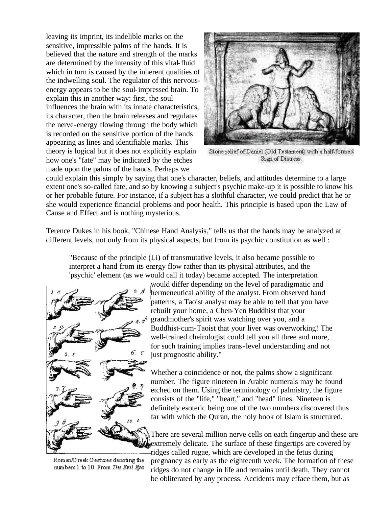leaving its imprint, its indelible marks on the sensitive, impressible palms of the hands. It is believed that the nature and strength of the marks are determined by the intensity of this vital-fluid which in turn is caused by the inherent qualities of the indwelling soul. The regulator of this nervousenergy appears to be the soul-impressed brain. To explain this in another way: first, the soul influences the brain with its innate characteristics, its character, then the brain releases and regulates the nerve-energy flowing through the body which is recorded on the sensitive portion of the hands appearing as lines and identifiable marks. This theory is logical but it does not explicitly explain how one's "fate" may be indicated by the etches made upon the palms of the hands. Perhaps we



Stone relief of Daniel (Old Testament) with a half-formed Sign of Distress.

could explain this simply by saying that one's character, beliefs, and attitudes determine to a large extent one's so-called fate, and so by knowing a subject's psychic make-up it is possible to know his or her probable future. For instance, if a subject has a slothful character, we could predict that he or she would experience financial problems and poor health. This principle is based upon the Law of Cause and Effect and is nothing mysterious.

Terence Dukes in his book, "Chinese Hand Analysis," tells us that the hands may be analyzed at different levels, not only from its physical aspects, but from its psychic constitution as well :

"Because of the principle (Li) of transmutative levels, it also became possible to interpret a hand from its energy flow rather than its physical attributes, and the 'psychic' element (as we would call it today) became accepted. The interpretation

6. 5  $10.1$ 

Roman/Greek Gestures denoting the numbers 1 to 10. From The Evil Eye

would differ depending on the level of paradigmatic and hermeneutical ability of the analyst. From observed hand patterns, a Taoist analyst may be able to tell that you have rebuilt your home, a Chen-Yen Buddhist that your grandmother's spirit was watching over you, and a Buddhist-cum-Taoist that your liver was overworking! The well-trained cheirologist could tell you all three and more, for such training implies trans-level understanding and not just prognostic ability."

Whether a coincidence or not, the palms show a significant number. The figure nineteen in Arabic numerals may be found etched on them. Using the terminology of palmistry, the figure consists of the "life," "heart," and "head" lines. Nineteen is definitely esoteric being one of the two numbers discovered thus far with which the Quran, the holy book of Islam is structured.

There are several million nerve cells on each fingertip and these are extremely delicate. The surface of these fingertips are covered by ridges called rugae, which are developed in the fetus during

pregnancy as early as the eighteenth week. The formation of these ridges do not change in life and remains until death. They cannot be obliterated by any process. Accidents may efface them, but as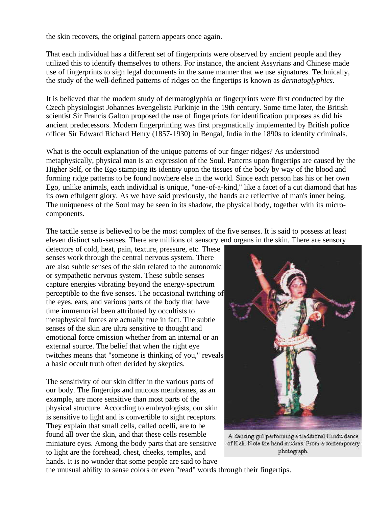the skin recovers, the original pattern appears once again.

That each individual has a different set of fingerprints were observed by ancient people and they utilized this to identify themselves to others. For instance, the ancient Assyrians and Chinese made use of fingerprints to sign legal documents in the same manner that we use signatures. Technically, the study of the well-defined patterns of ridges on the fingertips is known as *dermatoglyphics*.

It is believed that the modern study of dermatoglyphia or fingerprints were first conducted by the Czech physiologist Johannes Evengelista Purkinje in the 19th century. Some time later, the British scientist Sir Francis Galton proposed the use of fingerprints for identification purposes as did his ancient predecessors. Modern fingerprinting was first pragmatically implemented by British police officer Sir Edward Richard Henry (1857-1930) in Bengal, India in the 1890s to identify criminals.

What is the occult explanation of the unique patterns of our finger ridges? As understood metaphysically, physical man is an expression of the Soul. Patterns upon fingertips are caused by the Higher Self, or the Ego stamping its identity upon the tissues of the body by way of the blood and forming ridge patterns to be found nowhere else in the world. Since each person has his or her own Ego, unlike animals, each individual is unique, "one-of-a-kind," like a facet of a cut diamond that has its own effulgent glory. As we have said previously, the hands are reflective of man's inner being. The uniqueness of the Soul may be seen in its shadow, the physical body, together with its microcomponents.

The tactile sense is believed to be the most complex of the five senses. It is said to possess at least eleven distinct sub-senses. There are millions of sensory end organs in the skin. There are sensory

detectors of cold, heat, pain, texture, pressure, etc. These senses work through the central nervous system. There are also subtle senses of the skin related to the autonomic or sympathetic nervous system. These subtle senses capture energies vibrating beyond the energy-spectrum perceptible to the five senses. The occasional twitching of the eyes, ears, and various parts of the body that have time immemorial been attributed by occultists to metaphysical forces are actually true in fact. The subtle senses of the skin are ultra sensitive to thought and emotional force emission whether from an internal or an external source. The belief that when the right eye twitches means that "someone is thinking of you," reveals a basic occult truth often derided by skeptics.

The sensitivity of our skin differ in the various parts of our body. The fingertips and mucous membranes, as an example, are more sensitive than most parts of the physical structure. According to embryologists, our skin is sensitive to light and is convertible to sight receptors. They explain that small cells, called ocelli, are to be found all over the skin, and that these cells resemble miniature eyes. Among the body parts that are sensitive to light are the forehead, chest, cheeks, temples, and hands. It is no wonder that some people are said to have



A dancing girl performing a traditional Hindu dance of Kali. Note the hand mudras. From a contemporary photograph

the unusual ability to sense colors or even "read" words through their fingertips.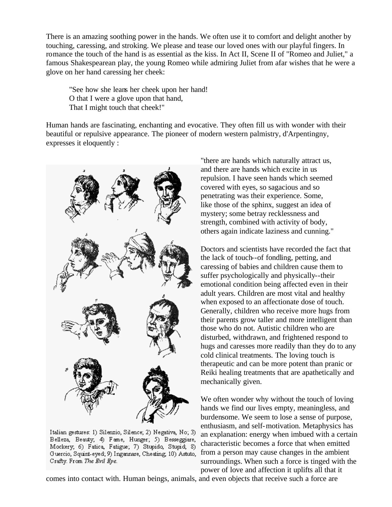There is an amazing soothing power in the hands. We often use it to comfort and delight another by touching, caressing, and stroking. We please and tease our loved ones with our playful fingers. In romance the touch of the hand is as essential as the kiss. In Act II, Scene II of "Romeo and Juliet," a famous Shakespearean play, the young Romeo while admiring Juliet from afar wishes that he were a glove on her hand caressing her cheek:

"See how she leans her cheek upon her hand! O that I were a glove upon that hand, That I might touch that cheek!"

Human hands are fascinating, enchanting and evocative. They often fill us with wonder with their beautiful or repulsive appearance. The pioneer of modern western palmistry, d'Arpentingny, expresses it eloquently :



Italian gestures: 1) Silenzio, Silence; 2) Negativa, No; 3) Belleza, Beauty, 4) Fame, Hunger, 5) Besseggiare, Mockery, 6) Fatica, Fatigue; 7) Stupido, Stupid; 8) Guercio, Squint-eyed; 9) Ingannare, Cheating, 10) Astuto, Crafty. From The Evil Eye.

"there are hands which naturally attract us, and there are hands which excite in us repulsion. I have seen hands which seemed covered with eyes, so sagacious and so penetrating was their experience. Some, like those of the sphinx, suggest an idea of mystery; some betray recklessness and strength, combined with activity of body, others again indicate laziness and cunning."

Doctors and scientists have recorded the fact that the lack of touch--of fondling, petting, and caressing of babies and children cause them to suffer psychologically and physically--their emotional condition being affected even in their adult years. Children are most vital and healthy when exposed to an affectionate dose of touch. Generally, children who receive more hugs from their parents grow taller and more intelligent than those who do not. Autistic children who are disturbed, withdrawn, and frightened respond to hugs and caresses more readily than they do to any cold clinical treatments. The loving touch is therapeutic and can be more potent than pranic or Reiki healing treatments that are apathetically and mechanically given.

We often wonder why without the touch of loving hands we find our lives empty, meaningless, and burdensome. We seem to lose a sense of purpose, enthusiasm, and self-motivation. Metaphysics has an explanation: energy when imbued with a certain characteristic becomes a force that when emitted from a person may cause changes in the ambient surroundings. When such a force is tinged with the power of love and affection it uplifts all that it

comes into contact with. Human beings, animals, and even objects that receive such a force are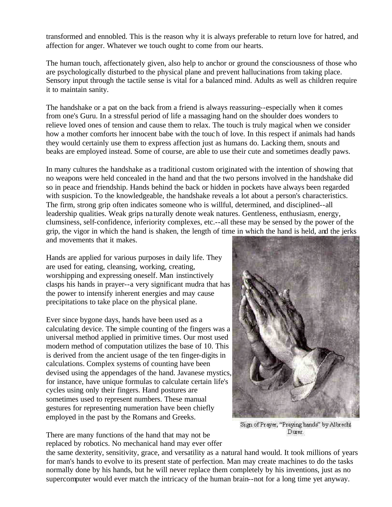transformed and ennobled. This is the reason why it is always preferable to return love for hatred, and affection for anger. Whatever we touch ought to come from our hearts.

The human touch, affectionately given, also help to anchor or ground the consciousness of those who are psychologically disturbed to the physical plane and prevent hallucinations from taking place. Sensory input through the tactile sense is vital for a balanced mind. Adults as well as children require it to maintain sanity.

The handshake or a pat on the back from a friend is always reassuring--especially when it comes from one's Guru. In a stressful period of life a massaging hand on the shoulder does wonders to relieve loved ones of tension and cause them to relax. The touch is truly magical when we consider how a mother comforts her innocent babe with the touch of love. In this respect if animals had hands they would certainly use them to express affection just as humans do. Lacking them, snouts and beaks are employed instead. Some of course, are able to use their cute and sometimes deadly paws.

In many cultures the handshake as a traditional custom originated with the intention of showing that no weapons were held concealed in the hand and that the two persons involved in the handshake did so in peace and friendship. Hands behind the back or hidden in pockets have always been regarded with suspicion. To the knowledgeable, the handshake reveals a lot about a person's characteristics. The firm, strong grip often indicates someone who is willful, determined, and disciplined--all leadership qualities. Weak grips na turally denote weak natures. Gentleness, enthusiasm, energy, clumsiness, self-confidence, inferiority complexes, etc.--all these may be sensed by the power of the grip, the vigor in which the hand is shaken, the length of time in which the hand is held, and the jerks and movements that it makes.

Hands are applied for various purposes in daily life. They are used for eating, cleansing, working, creating, worshipping and expressing oneself. Man instinctively clasps his hands in prayer--a very significant mudra that has the power to intensify inherent energies and may cause precipitations to take place on the physical plane.

Ever since bygone days, hands have been used as a calculating device. The simple counting of the fingers was a universal method applied in primitive times. Our most used modern method of computation utilizes the base of 10. This is derived from the ancient usage of the ten finger-digits in calculations. Complex systems of counting have been devised using the appendages of the hand. Javanese mystics, for instance, have unique formulas to calculate certain life's cycles using only their fingers. Hand postures are sometimes used to represent numbers. These manual gestures for representing numeration have been chiefly employed in the past by the Romans and Greeks.

There are many functions of the hand that may not be replaced by robotics. No mechanical hand may ever offer



Sign of Prayer, "Praying hands" by Albrecht Durer.

the same dexterity, sensitivity, grace, and versatility as a natural hand would. It took millions of years for man's hands to evolve to its present state of perfection. Man may create machines to do the tasks normally done by his hands, but he will never replace them completely by his inventions, just as no supercomputer would ever match the intricacy of the human brain--not for a long time yet anyway.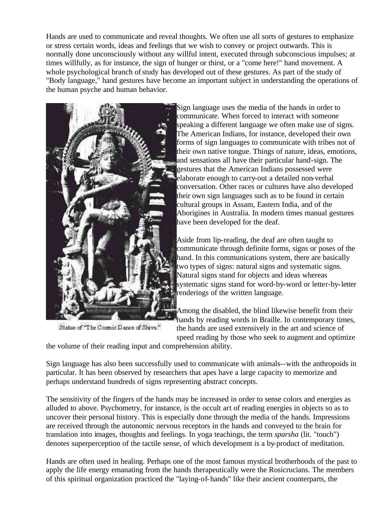Hands are used to communicate and reveal thoughts. We often use all sorts of gestures to emphasize or stress certain words, ideas and feelings that we wish to convey or project outwards. This is normally done unconsciously without any willful intent, executed through subconscious impulses; at times willfully, as for instance, the sign of hunger or thirst, or a "come here!" hand movement. A whole psychological branch of study has developed out of these gestures. As part of the study of "Body language," hand gestures have become an important subject in understanding the operations of the human psyche and human behavior.



Statue of "The Cosmic Dance of Shiva."

Sign language uses the media of the hands in order to communicate. When forced to interact with someone speaking a different language we often make use of signs. The American Indians, for instance, developed their own forms of sign languages to communicate with tribes not of their own native tongue. Things of nature, ideas, emotions, and sensations all have their particular hand-sign. The gestures that the American Indians possessed were elaborate enough to carry-out a detailed non-verbal conversation. Other races or cultures have also developed their own sign languages such as to be found in certain cultural groups in Assam, Eastern India, and of the Aborigines in Australia. In modern times manual gestures have been developed for the deaf.

Aside from lip-reading, the deaf are often taught to communicate through definite forms, signs or poses of the hand. In this communications system, there are basically two types of signs: natural signs and systematic signs. Natural signs stand for objects and ideas whereas systematic signs stand for word-by-word or letter-by-letter renderings of the written language.

Among the disabled, the blind likewise benefit from their hands by reading words in Braille. In contemporary times, the hands are used extensively in the art and science of

speed reading by those who seek to augment and optimize

the volume of their reading input and comprehension ability.

Sign language has also been successfully used to communicate with animals--with the anthropoids in particular. It has been observed by researchers that apes have a large capacity to memorize and perhaps understand hundreds of signs representing abstract concepts.

The sensitivity of the fingers of the hands may be increased in order to sense colors and energies as alluded to above. Psychometry, for instance, is the occult art of reading energies in objects so as to uncover their personal history. This is especially done through the media of the hands. Impressions are received through the autonomic nervous receptors in the hands and conveyed to the brain for translation into images, thoughts and feelings. In yoga teachings, the term *sparsha* (lit. "touch") denotes superperception of the tactile sense, of which development is a by-product of meditation.

Hands are often used in healing. Perhaps one of the most famous mystical brotherhoods of the past to apply the life energy emanating from the hands therapeutically were the Rosicrucians. The members of this spiritual organization practiced the "laying-of-hands" like their ancient counterparts, the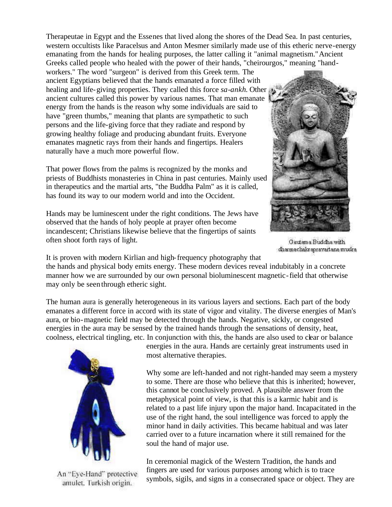Therapeutae in Egypt and the Essenes that lived along the shores of the Dead Sea. In past centuries, western occultists like Paracelsus and Anton Mesmer similarly made use of this etheric nerve-energy emanating from the hands for healing purposes, the latter calling it "animal magnetism." Ancient Greeks called people who healed with the power of their hands, "cheirourgos," meaning "hand-

workers." The word "surgeon" is derived from this Greek term. The ancient Egyptians believed that the hands emanated a force filled with healing and life-giving properties. They called this force *sa-ankh*. Other ancient cultures called this power by various names. That man emanate energy from the hands is the reason why some individuals are said to have "green thumbs," meaning that plants are sympathetic to such persons and the life-giving force that they radiate and respond by growing healthy foliage and producing abundant fruits. Everyone emanates magnetic rays from their hands and fingertips. Healers naturally have a much more powerful flow.

That power flows from the palms is recognized by the monks and priests of Buddhists monasteries in China in past centuries. Mainly used in therapeutics and the martial arts, "the Buddha Palm" as it is called, has found its way to our modern world and into the Occident.

Hands may be luminescent under the right conditions. The Jews have observed that the hands of holy people at prayer often become incandescent; Christians likewise believe that the fingertips of saints often shoot forth rays of light.



Gautama Buddha with dharmachakrapravartana mudra

It is proven with modern Kirlian and high-frequency photography that

the hands and physical body emits energy. These modern devices reveal indubitably in a concrete manner how we are surrounded by our own personal bioluminescent magnetic-field that otherwise may only be seen through etheric sight.

The human aura is generally heterogeneous in its various layers and sections. Each part of the body emanates a different force in accord with its state of vigor and vitality. The diverse energies of Man's aura, or bio-magnetic field may be detected through the hands. Negative, sickly, or congested energies in the aura may be sensed by the trained hands through the sensations of density, heat, coolness, electrical tingling, etc. In conjunction with this, the hands are also used to clear or balance



An "Eye-Hand" protective amulet. Turkish origin.

energies in the aura. Hands are certainly great instruments used in most alternative therapies.

Why some are left-handed and not right-handed may seem a mystery to some. There are those who believe that this is inherited; however, this cannot be conclusively proved. A plausible answer from the metaphysical point of view, is that this is a karmic habit and is related to a past life injury upon the major hand. Incapacitated in the use of the right hand, the soul intelligence was forced to apply the minor hand in daily activities. This became habitual and was later carried over to a future incarnation where it still remained for the soul the hand of major use.

In ceremonial magick of the Western Tradition, the hands and fingers are used for various purposes among which is to trace symbols, sigils, and signs in a consecrated space or object. They are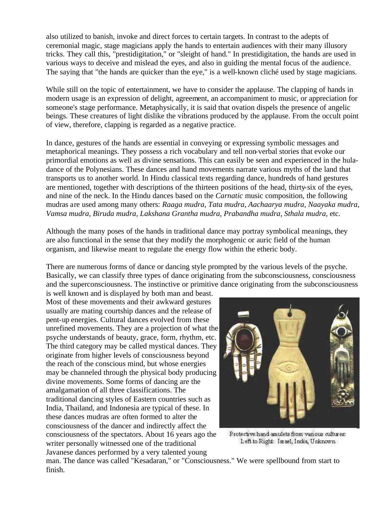also utilized to banish, invoke and direct forces to certain targets. In contrast to the adepts of ceremonial magic, stage magicians apply the hands to entertain audiences with their many illusory tricks. They call this, "prestidigitation," or "sleight of hand." In prestidigitation, the hands are used in various ways to deceive and mislead the eyes, and also in guiding the mental focus of the audience. The saying that "the hands are quicker than the eye," is a well-known cliché used by stage magicians.

While still on the topic of entertainment, we have to consider the applause. The clapping of hands in modern usage is an expression of delight, agreement, an accompaniment to music, or appreciation for someone's stage performance. Metaphysically, it is said that ovation dispels the presence of angelic beings. These creatures of light dislike the vibrations produced by the applause. From the occult point of view, therefore, clapping is regarded as a negative practice.

In dance, gestures of the hands are essential in conveying or expressing symbolic messages and metaphorical meanings. They possess a rich vocabulary and tell non-verbal stories that evoke our primordial emotions as well as divine sensations. This can easily be seen and experienced in the huladance of the Polynesians. These dances and hand movements narrate various myths of the land that transports us to another world. In Hindu classical texts regarding dance, hundreds of hand gestures are mentioned, together with descriptions of the thirteen positions of the head, thirty-six of the eyes, and nine of the neck. In the Hindu dances based on the *Carnatic* music composition, the following mudras are used among many others: *Raaga mudra, Tata mudra, Aachaarya mudra, Naayaka mudra, Vamsa mudra, Biruda mudra, Lakshana Grantha mudra, Prabandha mudra, Sthala mudra,* etc.

Although the many poses of the hands in traditional dance may portray symbolical meanings, they are also functional in the sense that they modify the morphogenic or auric field of the human organism, and likewise meant to regulate the energy flow within the etheric body.

There are numerous forms of dance or dancing style prompted by the various levels of the psyche. Basically, we can classify three types of dance originating from the subconsciousness, consciousness and the superconsciousness. The instinctive or primitive dance originating from the subconsciousness

is well known and is displayed by both man and beast. Most of these movements and their awkward gestures usually are mating courtship dances and the release of pent-up energies. Cultural dances evolved from these unrefined movements. They are a projection of what the psyche understands of beauty, grace, form, rhythm, etc. The third category may be called mystical dances. They originate from higher levels of consciousness beyond the reach of the conscious mind, but whose energies may be channeled through the physical body producing divine movements. Some forms of dancing are the amalgamation of all three classifications. The traditional dancing styles of Eastern countries such as India, Thailand, and Indonesia are typical of these. In these dances mudras are often formed to alter the consciousness of the dancer and indirectly affect the consciousness of the spectators. About 16 years ago the writer personally witnessed one of the traditional Javanese dances performed by a very talented young



Protective hand-anulets from various cultures: Left to Right: Israel, India, Unknown

man. The dance was called "Kesadaran," or "Consciousness." We were spellbound from start to finish.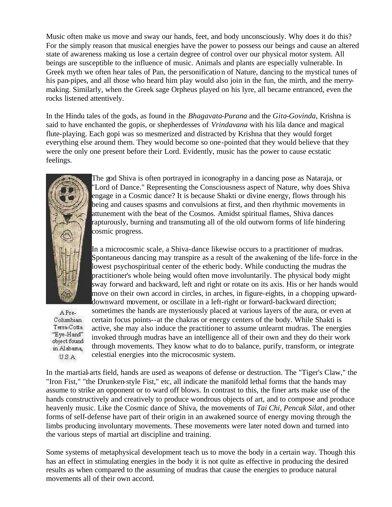Music often make us move and sway our hands, feet, and body unconsciously. Why does it do this? For the simply reason that musical energies have the power to possess our beings and cause an altered state of awareness making us lose a certain degree of control over our physical motor system. All beings are susceptible to the influence of music. Animals and plants are especially vulnerable. In Greek myth we often hear tales of Pan, the personification of Nature, dancing to the mystical tunes of his pan-pipes, and all those who heard him play would also join in the fun, the mirth, and the merrymaking. Similarly, when the Greek sage Orpheus played on his lyre, all became entranced, even the rocks listened attentively.

In the Hindu tales of the gods, as found in the *Bhagavata-Purana* and the *Gita-Govinda*, Krishna is said to have enchanted the gopis, or shepherdesses of *Vrindavana* with his lila dance and magical flute-playing. Each gopi was so mesmerized and distracted by Krishna that they would forget everything else around them. They would become so one-pointed that they would believe that they were the only one present before their Lord. Evidently, music has the power to cause ecstatic feelings.



A Pre-Columbian Terra-Cotta "Eye-Hand" object found in Alabama, U.S.A.

The god Shiva is often portrayed in iconography in a dancing pose as Nataraja, or "Lord of Dance." Representing the Consciousness aspect of Nature, why does Shiva engage in a Cosmic dance? It is because Shakti or divine energy, flows through his being and causes spasms and convulsions at first, and then rhythmic movements in attunement with the beat of the Cosmos. Amidst spiritual flames, Shiva dances rapturously, burning and transmuting all of the old outworn forms of life hindering cosmic progress.

In a microcosmic scale, a Shiva-dance likewise occurs to a practitioner of mudras. Spontaneous dancing may transpire as a result of the awakening of the life-force in the lowest psychospiritual center of the etheric body. While conducting the mudras the practitioner's whole being would often move involuntarily. The physical body might sway forward and backward, left and right or rotate on its axis. His or her hands would move on their own accord in circles, in arches, in figure-eights, in a chopping upwarddownward movement, or oscillate in a left-right or forward-backward direction;

sometimes the hands are mysteriously placed at various layers of the aura, or even at certain focus points--at the chakras or energy centers of the body. While Shakti is active, she may also induce the practitioner to assume unlearnt mudras. The energies invoked through mudras have an intelligence all of their own and they do their work through movements. They know what to do to balance, purify, transform, or integrate celestial energies into the microcosmic system.

In the martial-arts field, hands are used as weapons of defense or destruction. The "Tiger's Claw," the "Iron Fist," "the Drunken-style Fist," etc, all indicate the manifold lethal forms that the hands may assume to strike an opponent or to ward off blows. In contrast to this, the finer arts make use of the hands constructively and creatively to produce wondrous objects of art, and to compose and produce heavenly music. Like the Cosmic dance of Shiva, the movements of *Tai Chi*, *Pencak Silat*, and other forms of self-defense have part of their origin in an awakened source of energy moving through the limbs producing involuntary movements. These movements were later noted down and turned into the various steps of martial art discipline and training.

Some systems of metaphysical development teach us to move the body in a certain way. Though this has an effect in stimulating energies in the body it is not quite as effective in producing the desired results as when compared to the assuming of mudras that cause the energies to produce natural movements all of their own accord.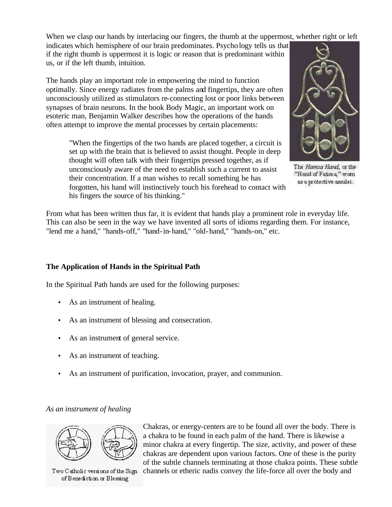When we clasp our hands by interlacing our fingers, the thumb at the uppermost, whether right or left

indicates which hemisphere of our brain predominates. Psychology tells us that if the right thumb is uppermost it is logic or reason that is predominant within us, or if the left thumb, intuition.

The hands play an important role in empowering the mind to function optimally. Since energy radiates from the palms and fingertips, they are often unconsciously utilized as stimulators re-connecting lost or poor links between synapses of brain neurons. In the book Body Magic, an important work on esoteric man, Benjamin Walker describes how the operations of the hands often attempt to improve the mental processes by certain placements:

"When the fingertips of the two hands are placed together, a circuit is set up with the brain that is believed to assist thought. People in deep thought will often talk with their fingertips pressed together, as if unconsciously aware of the need to establish such a current to assist their concentration. If a man wishes to recall something he has forgotten, his hand will instinctively touch his forehead to contact with his fingers the source of his thinking."



The Hamsa Hand, or the "Hand of Fatima," worn as a protective amulet.

From what has been written thus far, it is evident that hands play a prominent role in everyday life. This can also be seen in the way we have invented all sorts of idioms regarding them. For instance, "lend me a hand," "hands-off," "hand-in-hand," "old-hand," "hands-on," etc.

# **The Application of Hands in the Spiritual Path**

In the Spiritual Path hands are used for the following purposes:

- As an instrument of healing.
- As an instrument of blessing and consecration.
- As an instrument of general service.
- As an instrument of teaching.
- As an instrument of purification, invocation, prayer, and communion.

# *As an instrument of healing*



Two C atholic versions of the Sign of Benediction or Blessing

Chakras, or energy-centers are to be found all over the body. There is a chakra to be found in each palm of the hand. There is likewise a minor chakra at every fingertip. The size, activity, and power of these chakras are dependent upon various factors. One of these is the purity of the subtle channels terminating at those chakra points. These subtle channels or etheric nadis convey the life-force all over the body and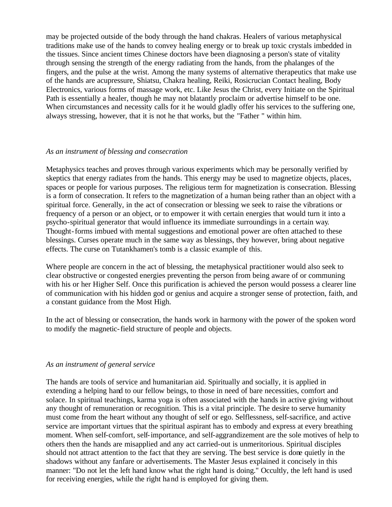may be projected outside of the body through the hand chakras. Healers of various metaphysical traditions make use of the hands to convey healing energy or to break up toxic crystals imbedded in the tissues. Since ancient times Chinese doctors have been diagnosing a person's state of vitality through sensing the strength of the energy radiating from the hands, from the phalanges of the fingers, and the pulse at the wrist. Among the many systems of alternative therapeutics that make use of the hands are acupressure, Shiatsu, Chakra healing, Reiki, Rosicrucian Contact healing, Body Electronics, various forms of massage work, etc. Like Jesus the Christ, every Initiate on the Spiritual Path is essentially a healer, though he may not blatantly proclaim or advertise himself to be one. When circumstances and necessity calls for it he would gladly offer his services to the suffering one, always stressing, however, that it is not he that works, but the "Father " within him.

### *As an instrument of blessing and consecration*

Metaphysics teaches and proves through various experiments which may be personally verified by skeptics that energy radiates from the hands. This energy may be used to magnetize objects, places, spaces or people for various purposes. The religious term for magnetization is consecration. Blessing is a form of consecration. It refers to the magnetization of a human being rather than an object with a spiritual force. Generally, in the act of consecration or blessing we seek to raise the vibrations or frequency of a person or an object, or to empower it with certain energies that would turn it into a psycho-spiritual generator that would influence its immediate surroundings in a certain way. Thought-forms imbued with mental suggestions and emotional power are often attached to these blessings. Curses operate much in the same way as blessings, they however, bring about negative effects. The curse on Tutankhamen's tomb is a classic example of this.

Where people are concern in the act of blessing, the metaphysical practitioner would also seek to clear obstructive or congested energies preventing the person from being aware of or communing with his or her Higher Self. Once this purification is achieved the person would possess a clearer line of communication with his hidden god or genius and acquire a stronger sense of protection, faith, and a constant guidance from the Most High.

In the act of blessing or consecration, the hands work in harmony with the power of the spoken word to modify the magnetic-field structure of people and objects.

#### *As an instrument of general service*

The hands are tools of service and humanitarian aid. Spiritually and socially, it is applied in extending a helping hand to our fellow beings, to those in need of bare necessities, comfort and solace. In spiritual teachings, karma yoga is often associated with the hands in active giving without any thought of remuneration or recognition. This is a vital principle. The desire to serve humanity must come from the heart without any thought of self or ego. Selflessness, self-sacrifice, and active service are important virtues that the spiritual aspirant has to embody and express at every breathing moment. When self-comfort, self-importance, and self-aggrandizement are the sole motives of help to others then the hands are misapplied and any act carried-out is unmeritorious. Spiritual disciples should not attract attention to the fact that they are serving. The best service is done quietly in the shadows without any fanfare or advertisements. The Master Jesus explained it concisely in this manner: "Do not let the left hand know what the right hand is doing." Occultly, the left hand is used for receiving energies, while the right hand is employed for giving them.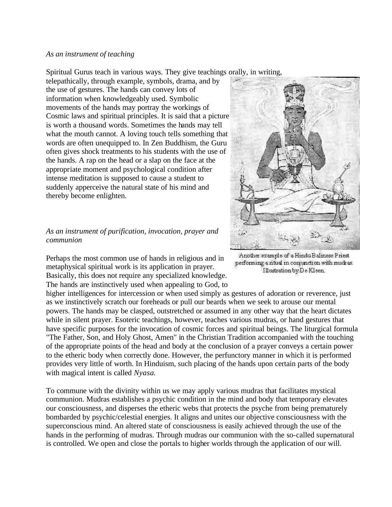#### *As an instrument of teaching*

Spiritual Gurus teach in various ways. They give teachings orally, in writing,

telepathically, through example, symbols, drama, and by the use of gestures. The hands can convey lots of information when knowledgeably used. Symbolic movements of the hands may portray the workings of Cosmic laws and spiritual principles. It is said that a picture is worth a thousand words. Sometimes the hands may tell what the mouth cannot. A loving touch tells something that words are often unequipped to. In Zen Buddhism, the Guru often gives shock treatments to his students with the use of the hands. A rap on the head or a slap on the face at the appropriate moment and psychological condition after intense meditation is supposed to cause a student to suddenly apperceive the natural state of his mind and thereby become enlighten.

## *As an instrument of purification, invocation, prayer and communion*

Perhaps the most common use of hands in religious and in metaphysical spiritual work is its application in prayer. Basically, this does not require any specialized knowledge. The hands are instinctively used when appealing to God, to

higher intelligences for intercession or when used simply as gestures of adoration or reverence, just as we instinctively scratch our foreheads or pull our beards when we seek to arouse our mental powers. The hands may be clasped, outstretched or assumed in any other way that the heart dictates while in silent prayer. Esoteric teachings, however, teaches various mudras, or hand gestures that have specific purposes for the invocation of cosmic forces and spiritual beings. The liturgical formula "The Father, Son, and Holy Ghost, Amen" in the Christian Tradition accompanied with the touching of the appropriate points of the head and body at the conclusion of a prayer conveys a certain power to the etheric body when correctly done. However, the perfunctory manner in which it is performed provides very little of worth. In Hinduism, such placing of the hands upon certain parts of the body with magical intent is called *Nyasa*.

To commune with the divinity within us we may apply various mudras that facilitates mystical communion. Mudras establishes a psychic condition in the mind and body that temporary elevates our consciousness, and disperses the etheric webs that protects the psyche from being prematurely bombarded by psychic/celestial energies. It aligns and unites our objective consciousness with the superconscious mind. An altered state of consciousness is easily achieved through the use of the hands in the performing of mudras. Through mudras our communion with the so-called supernatural is controlled. We open and close the portals to higher worlds through the application of our will.



Another example of a Hindu Balinese Priest performing a ritual in comunction with mudras: Illustration by De Kleen.